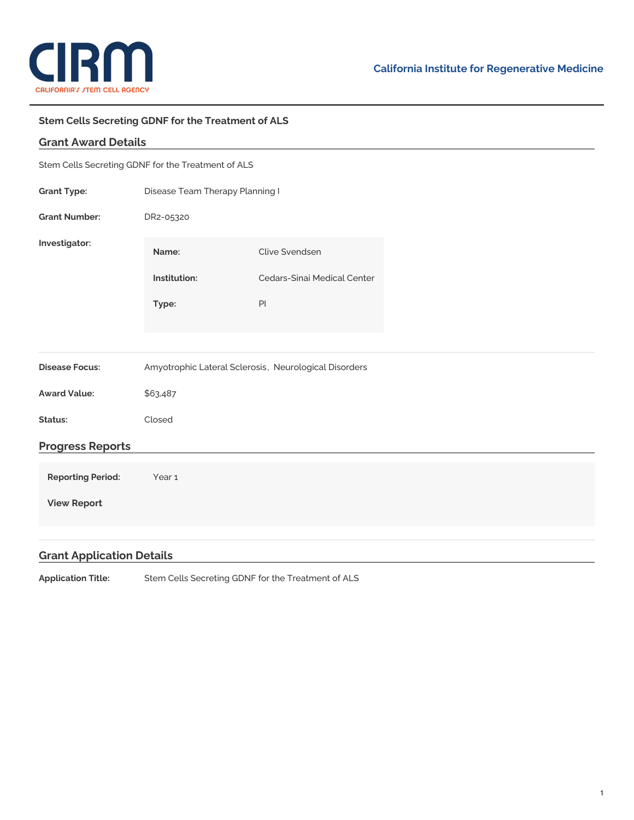

## **Stem Cells Secreting GDNF for the Treatment of ALS**

## **Grant Award Details**

| Stem Cells Secreting GDNF for the Treatment of ALS |                                                       |                             |  |
|----------------------------------------------------|-------------------------------------------------------|-----------------------------|--|
| <b>Grant Type:</b>                                 | Disease Team Therapy Planning I                       |                             |  |
| <b>Grant Number:</b>                               | DR2-05320                                             |                             |  |
| Investigator:                                      | Name:                                                 | Clive Svendsen              |  |
|                                                    | Institution:                                          | Cedars-Sinai Medical Center |  |
|                                                    | Type:                                                 | $\mathsf{Pl}$               |  |
|                                                    |                                                       |                             |  |
| <b>Disease Focus:</b>                              | Amyotrophic Lateral Sclerosis, Neurological Disorders |                             |  |
| <b>Award Value:</b>                                | \$63,487                                              |                             |  |
| Status:                                            | Closed                                                |                             |  |
| <b>Progress Reports</b>                            |                                                       |                             |  |
| <b>Reporting Period:</b>                           | Year 1                                                |                             |  |
| <b>View Report</b>                                 |                                                       |                             |  |
|                                                    |                                                       |                             |  |

## **Grant Application Details**

**Application Title:** Stem Cells Secreting GDNF for the Treatment of ALS